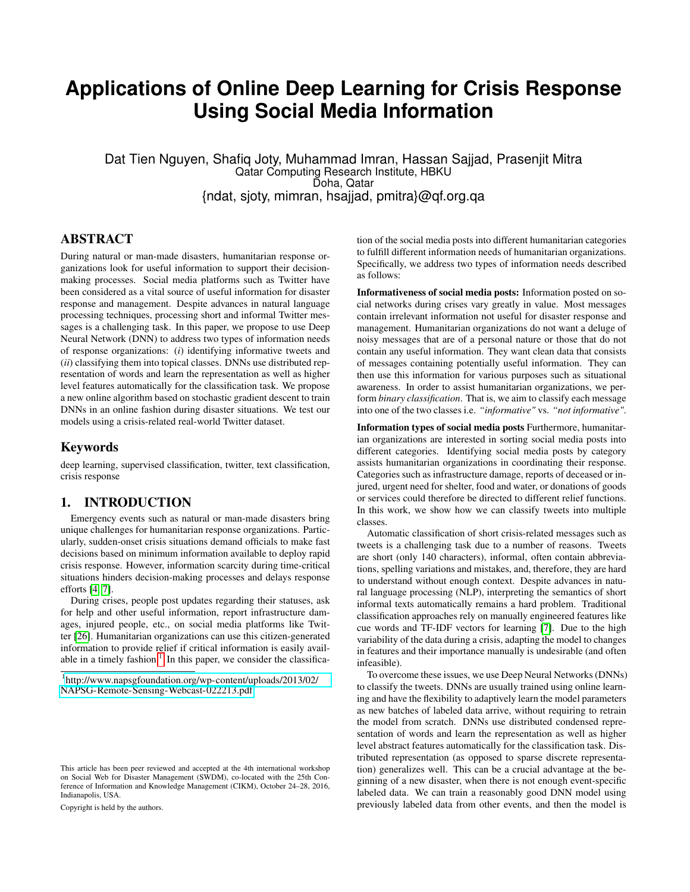# **Applications of Online Deep Learning for Crisis Response Using Social Media Information**

Dat Tien Nguyen, Shafiq Joty, Muhammad Imran, Hassan Sajjad, Prasenjit Mitra Qatar Computing Research Institute, HBKU Doha, Qatar {ndat, sjoty, mimran, hsajjad, pmitra}@qf.org.qa

# ABSTRACT

During natural or man-made disasters, humanitarian response organizations look for useful information to support their decisionmaking processes. Social media platforms such as Twitter have been considered as a vital source of useful information for disaster response and management. Despite advances in natural language processing techniques, processing short and informal Twitter messages is a challenging task. In this paper, we propose to use Deep Neural Network (DNN) to address two types of information needs of response organizations: (*i*) identifying informative tweets and (*ii*) classifying them into topical classes. DNNs use distributed representation of words and learn the representation as well as higher level features automatically for the classification task. We propose a new online algorithm based on stochastic gradient descent to train DNNs in an online fashion during disaster situations. We test our models using a crisis-related real-world Twitter dataset.

## Keywords

deep learning, supervised classification, twitter, text classification, crisis response

# 1. INTRODUCTION

Emergency events such as natural or man-made disasters bring unique challenges for humanitarian response organizations. Particularly, sudden-onset crisis situations demand officials to make fast decisions based on minimum information available to deploy rapid crisis response. However, information scarcity during time-critical situations hinders decision-making processes and delays response efforts [\[4,](#page-4-0) [7\]](#page-4-1).

During crises, people post updates regarding their statuses, ask for help and other useful information, report infrastructure damages, injured people, etc., on social media platforms like Twitter [\[26\]](#page-5-0). Humanitarian organizations can use this citizen-generated information to provide relief if critical information is easily avail-able in a timely fashion.<sup>[1](#page-0-0)</sup> In this paper, we consider the classifica-

Copyright is held by the authors.

tion of the social media posts into different humanitarian categories to fulfill different information needs of humanitarian organizations. Specifically, we address two types of information needs described as follows:

Informativeness of social media posts: Information posted on social networks during crises vary greatly in value. Most messages contain irrelevant information not useful for disaster response and management. Humanitarian organizations do not want a deluge of noisy messages that are of a personal nature or those that do not contain any useful information. They want clean data that consists of messages containing potentially useful information. They can then use this information for various purposes such as situational awareness. In order to assist humanitarian organizations, we perform *binary classification*. That is, we aim to classify each message into one of the two classes i.e. *"informative"* vs. *"not informative"*.

Information types of social media posts Furthermore, humanitarian organizations are interested in sorting social media posts into different categories. Identifying social media posts by category assists humanitarian organizations in coordinating their response. Categories such as infrastructure damage, reports of deceased or injured, urgent need for shelter, food and water, or donations of goods or services could therefore be directed to different relief functions. In this work, we show how we can classify tweets into multiple classes.

Automatic classification of short crisis-related messages such as tweets is a challenging task due to a number of reasons. Tweets are short (only 140 characters), informal, often contain abbreviations, spelling variations and mistakes, and, therefore, they are hard to understand without enough context. Despite advances in natural language processing (NLP), interpreting the semantics of short informal texts automatically remains a hard problem. Traditional classification approaches rely on manually engineered features like cue words and TF-IDF vectors for learning [\[7\]](#page-4-1). Due to the high variability of the data during a crisis, adapting the model to changes in features and their importance manually is undesirable (and often infeasible).

To overcome these issues, we use Deep Neural Networks (DNNs) to classify the tweets. DNNs are usually trained using online learning and have the flexibility to adaptively learn the model parameters as new batches of labeled data arrive, without requiring to retrain the model from scratch. DNNs use distributed condensed representation of words and learn the representation as well as higher level abstract features automatically for the classification task. Distributed representation (as opposed to sparse discrete representation) generalizes well. This can be a crucial advantage at the beginning of a new disaster, when there is not enough event-specific labeled data. We can train a reasonably good DNN model using previously labeled data from other events, and then the model is

<span id="page-0-0"></span><sup>1</sup> [http://www.napsgfoundation.org/wp-content/uploads/2013/02/](http://www.napsgfoundation.org/wp-content/uploads/2013/02/NAPSG-Remote-Sensing-Webcast-022213.pdf) [NAPSG-Remote-Sensing-Webcast-022213.pdf](http://www.napsgfoundation.org/wp-content/uploads/2013/02/NAPSG-Remote-Sensing-Webcast-022213.pdf)

This article has been peer reviewed and accepted at the 4th international workshop on Social Web for Disaster Management (SWDM), co-located with the 25th Conference of Information and Knowledge Management (CIKM), October 24–28, 2016, Indianapolis, USA.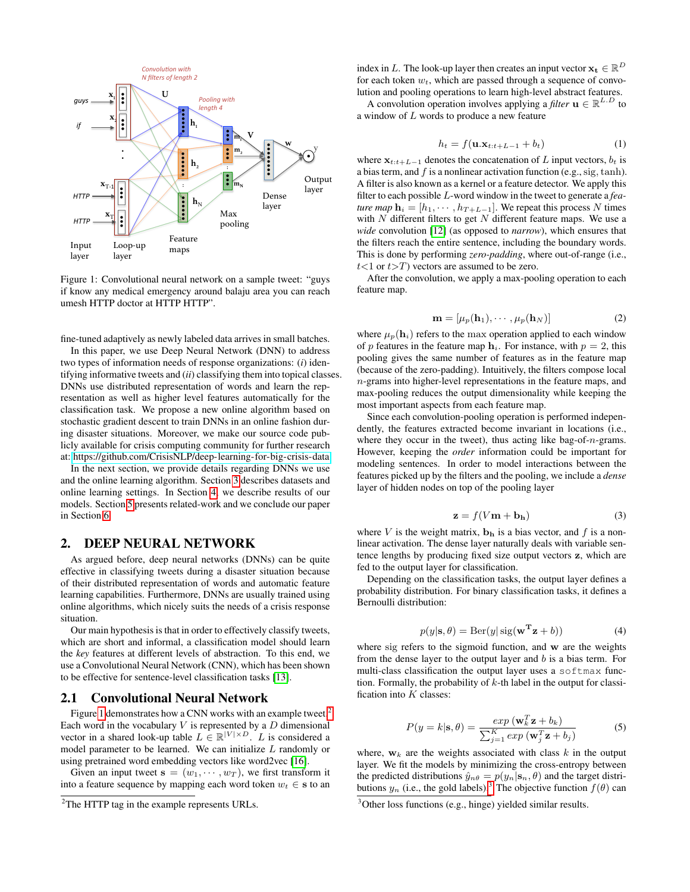<span id="page-1-0"></span>

Figure 1: Convolutional neural network on a sample tweet: "guys if know any medical emergency around balaju area you can reach umesh HTTP doctor at HTTP HTTP".

fine-tuned adaptively as newly labeled data arrives in small batches.

In this paper, we use Deep Neural Network (DNN) to address two types of information needs of response organizations: (*i*) identifying informative tweets and (*ii*) classifying them into topical classes. DNNs use distributed representation of words and learn the representation as well as higher level features automatically for the classification task. We propose a new online algorithm based on stochastic gradient descent to train DNNs in an online fashion during disaster situations. Moreover, we make our source code publicly available for crisis computing community for further research at:<https://github.com/CrisisNLP/deep-learning-for-big-crisis-data>

In the next section, we provide details regarding DNNs we use and the online learning algorithm. Section [3](#page-2-0) describes datasets and online learning settings. In Section [4,](#page-3-0) we describe results of our models. Section [5](#page-3-1) presents related-work and we conclude our paper in Section [6.](#page-4-2)

#### 2. DEEP NEURAL NETWORK

As argued before, deep neural networks (DNNs) can be quite effective in classifying tweets during a disaster situation because of their distributed representation of words and automatic feature learning capabilities. Furthermore, DNNs are usually trained using online algorithms, which nicely suits the needs of a crisis response situation.

Our main hypothesis is that in order to effectively classify tweets, which are short and informal, a classification model should learn the *key* features at different levels of abstraction. To this end, we use a Convolutional Neural Network (CNN), which has been shown to be effective for sentence-level classification tasks [\[13\]](#page-5-1).

#### 2.1 Convolutional Neural Network

Figure [1](#page-1-0) demonstrates how a CNN works with an example tweet.<sup>[2](#page-1-1)</sup> Each word in the vocabulary  $V$  is represented by a  $D$  dimensional vector in a shared look-up table  $L \in \mathbb{R}^{|V| \times D}$ . L is considered a model parameter to be learned. We can initialize L randomly or using pretrained word embedding vectors like word2vec [\[16\]](#page-5-2).

Given an input tweet  $\mathbf{s} = (w_1, \dots, w_T)$ , we first transform it into a feature sequence by mapping each word token  $w_t \in \mathbf{s}$  to an

index in L. The look-up layer then creates an input vector  $\mathbf{x_t} \in \mathbb{R}^D$ for each token  $w_t$ , which are passed through a sequence of convolution and pooling operations to learn high-level abstract features.

A convolution operation involves applying a *filter*  $\mathbf{u} \in \mathbb{R}^{L.D}$  to a window of L words to produce a new feature

$$
h_t = f(\mathbf{u}.\mathbf{x}_{t:t+L-1} + b_t)
$$
 (1)

where  $x_{t:t+L-1}$  denotes the concatenation of L input vectors,  $b_t$  is a bias term, and  $f$  is a nonlinear activation function (e.g., sig, tanh). A filter is also known as a kernel or a feature detector. We apply this filter to each possible L-word window in the tweet to generate a *feature map*  $\mathbf{h}_i = [h_1, \cdots, h_{T+L-1}]$ . We repeat this process N times with  $N$  different filters to get  $N$  different feature maps. We use a *wide* convolution [\[12\]](#page-4-3) (as opposed to *narrow*), which ensures that the filters reach the entire sentence, including the boundary words. This is done by performing *zero-padding*, where out-of-range (i.e.,  $t$ <1 or  $t$ >T) vectors are assumed to be zero.

After the convolution, we apply a max-pooling operation to each feature map.

$$
\mathbf{m} = [\mu_p(\mathbf{h}_1), \cdots, \mu_p(\mathbf{h}_N)] \tag{2}
$$

where  $\mu_p(\mathbf{h}_i)$  refers to the max operation applied to each window of p features in the feature map  $h_i$ . For instance, with  $p = 2$ , this pooling gives the same number of features as in the feature map (because of the zero-padding). Intuitively, the filters compose local n-grams into higher-level representations in the feature maps, and max-pooling reduces the output dimensionality while keeping the most important aspects from each feature map.

Since each convolution-pooling operation is performed independently, the features extracted become invariant in locations (i.e., where they occur in the tweet), thus acting like bag-of- $n$ -grams. However, keeping the *order* information could be important for modeling sentences. In order to model interactions between the features picked up by the filters and the pooling, we include a *dense* layer of hidden nodes on top of the pooling layer

$$
\mathbf{z} = f(V\mathbf{m} + \mathbf{b}_{\mathbf{h}}) \tag{3}
$$

where V is the weight matrix,  $\mathbf{b}_h$  is a bias vector, and f is a nonlinear activation. The dense layer naturally deals with variable sentence lengths by producing fixed size output vectors z, which are fed to the output layer for classification.

Depending on the classification tasks, the output layer defines a probability distribution. For binary classification tasks, it defines a Bernoulli distribution:

<span id="page-1-3"></span>
$$
p(y|\mathbf{s}, \theta) = \text{Ber}(y|\text{sig}(\mathbf{w}^{\mathbf{T}}\mathbf{z} + b))
$$
 (4)

where sig refers to the sigmoid function, and w are the weights from the dense layer to the output layer and b is a bias term. For multi-class classification the output layer uses a softmax function. Formally, the probability of  $k$ -th label in the output for classification into  $K$  classes:

$$
P(y = k | \mathbf{s}, \theta) = \frac{\exp(\mathbf{w}_k^T \mathbf{z} + b_k)}{\sum_{j=1}^K \exp(\mathbf{w}_j^T \mathbf{z} + b_j)}
$$
(5)

where,  $w_k$  are the weights associated with class k in the output layer. We fit the models by minimizing the cross-entropy between the predicted distributions  $\hat{y}_{n\theta} = p(y_n | \mathbf{s}_n, \theta)$  and the target distributions  $y_n$  (i.e., the gold labels).<sup>[3](#page-1-2)</sup> The objective function  $f(\theta)$  can

<span id="page-1-1"></span><sup>&</sup>lt;sup>2</sup>The HTTP tag in the example represents URLs.

<span id="page-1-2"></span><sup>&</sup>lt;sup>3</sup>Other loss functions (e.g., hinge) yielded similar results.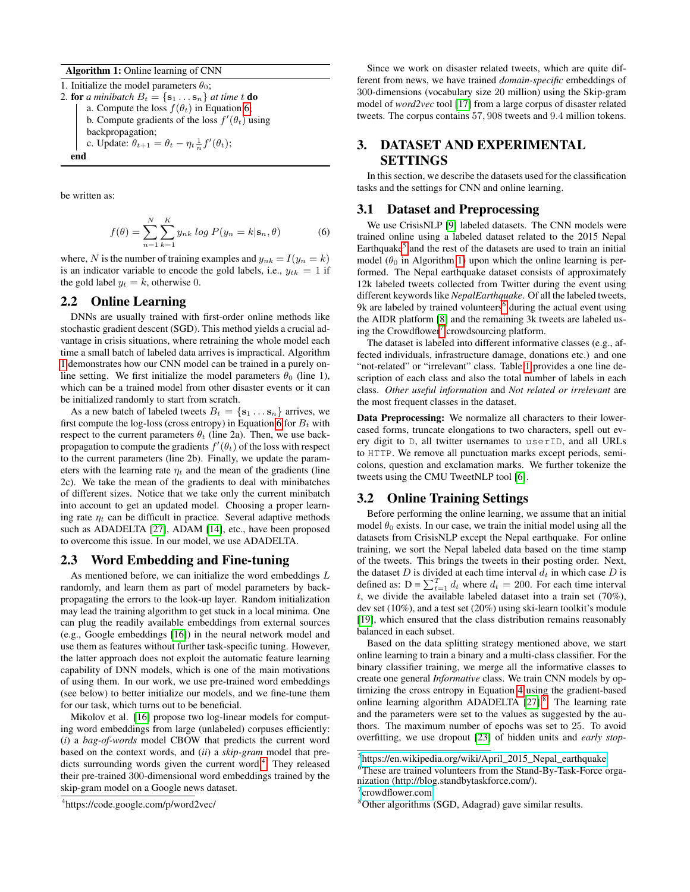Algorithm 1: Online learning of CNN

1. Initialize the model parameters  $\theta_0$ ; 2. for *a minibatch*  $B_t = \{s_1 \dots s_n\}$  *at time t* **do** a. Compute the loss  $f(\theta_t)$  in Equation [6;](#page-2-1) b. Compute gradients of the loss  $f'(\theta_t)$  using backpropagation; c. Update:  $\theta_{t+1} = \theta_t - \eta_t \frac{1}{n} f'(\theta_t);$ end

<span id="page-2-2"></span>be written as:

<span id="page-2-1"></span>
$$
f(\theta) = \sum_{n=1}^{N} \sum_{k=1}^{K} y_{nk} \log P(y_n = k | \mathbf{s}_n, \theta)
$$
 (6)

where, N is the number of training examples and  $y_{nk} = I(y_n = k)$ is an indicator variable to encode the gold labels, i.e.,  $y_{tk} = 1$  if the gold label  $y_t = k$ , otherwise 0.

#### 2.2 Online Learning

DNNs are usually trained with first-order online methods like stochastic gradient descent (SGD). This method yields a crucial advantage in crisis situations, where retraining the whole model each time a small batch of labeled data arrives is impractical. Algorithm [1](#page-2-2) demonstrates how our CNN model can be trained in a purely online setting. We first initialize the model parameters  $\theta_0$  (line 1), which can be a trained model from other disaster events or it can be initialized randomly to start from scratch.

As a new batch of labeled tweets  $B_t = \{s_1 \dots s_n\}$  arrives, we first compute the log-loss (cross entropy) in Equation [6](#page-2-1) for  $B_t$  with respect to the current parameters  $\theta_t$  (line 2a). Then, we use backpropagation to compute the gradients  $f'(\theta_t)$  of the loss with respect to the current parameters (line 2b). Finally, we update the parameters with the learning rate  $\eta_t$  and the mean of the gradients (line 2c). We take the mean of the gradients to deal with minibatches of different sizes. Notice that we take only the current minibatch into account to get an updated model. Choosing a proper learning rate  $\eta_t$  can be difficult in practice. Several adaptive methods such as ADADELTA [\[27\]](#page-5-3), ADAM [\[14\]](#page-5-4), etc., have been proposed to overcome this issue. In our model, we use ADADELTA.

#### 2.3 Word Embedding and Fine-tuning

As mentioned before, we can initialize the word embeddings L randomly, and learn them as part of model parameters by backpropagating the errors to the look-up layer. Random initialization may lead the training algorithm to get stuck in a local minima. One can plug the readily available embeddings from external sources (e.g., Google embeddings [\[16\]](#page-5-2)) in the neural network model and use them as features without further task-specific tuning. However, the latter approach does not exploit the automatic feature learning capability of DNN models, which is one of the main motivations of using them. In our work, we use pre-trained word embeddings (see below) to better initialize our models, and we fine-tune them for our task, which turns out to be beneficial.

Mikolov et al. [\[16\]](#page-5-2) propose two log-linear models for computing word embeddings from large (unlabeled) corpuses efficiently: (*i*) a *bag-of-words* model CBOW that predicts the current word based on the context words, and (*ii*) a *skip-gram* model that pre-dicts surrounding words given the current word.<sup>[4](#page-2-3)</sup> They released their pre-trained 300-dimensional word embeddings trained by the skip-gram model on a Google news dataset.

Since we work on disaster related tweets, which are quite different from news, we have trained *domain-specific* embeddings of 300-dimensions (vocabulary size 20 million) using the Skip-gram model of *word2vec* tool [\[17\]](#page-5-5) from a large corpus of disaster related tweets. The corpus contains 57, 908 tweets and 9.4 million tokens.

# <span id="page-2-0"></span>3. DATASET AND EXPERIMENTAL **SETTINGS**

In this section, we describe the datasets used for the classification tasks and the settings for CNN and online learning.

## 3.1 Dataset and Preprocessing

We use CrisisNLP [\[9\]](#page-4-4) labeled datasets. The CNN models were trained online using a labeled dataset related to the 2015 Nepal Earthquake<sup>[5](#page-2-4)</sup> and the rest of the datasets are used to train an initial model ( $\theta_0$  in Algorithm [1\)](#page-2-2) upon which the online learning is performed. The Nepal earthquake dataset consists of approximately 12k labeled tweets collected from Twitter during the event using different keywords like *NepalEarthquake*. Of all the labeled tweets, 9k are labeled by trained volunteers<sup>[6](#page-2-5)</sup> during the actual event using the AIDR platform [\[8\]](#page-4-5) and the remaining 3k tweets are labeled us-ing the Crowdflower<sup>[7](#page-2-6)</sup> crowdsourcing platform.

The dataset is labeled into different informative classes (e.g., affected individuals, infrastructure damage, donations etc.) and one "not-related" or "irrelevant" class. Table [1](#page-3-2) provides a one line description of each class and also the total number of labels in each class. *Other useful information* and *Not related or irrelevant* are the most frequent classes in the dataset.

Data Preprocessing: We normalize all characters to their lowercased forms, truncate elongations to two characters, spell out every digit to D, all twitter usernames to userID, and all URLs to HTTP. We remove all punctuation marks except periods, semicolons, question and exclamation marks. We further tokenize the tweets using the CMU TweetNLP tool [\[6\]](#page-4-6).

#### 3.2 Online Training Settings

Before performing the online learning, we assume that an initial model  $\theta_0$  exists. In our case, we train the initial model using all the datasets from CrisisNLP except the Nepal earthquake. For online training, we sort the Nepal labeled data based on the time stamp of the tweets. This brings the tweets in their posting order. Next, the dataset  $D$  is divided at each time interval  $d_t$  in which case  $D$  is defined as:  $D = \sum_{t=1}^{T} d_t$  where  $d_t = 200$ . For each time interval t, we divide the available labeled dataset into a train set  $(70\%)$ , dev set (10%), and a test set (20%) using ski-learn toolkit's module [\[19\]](#page-5-6), which ensured that the class distribution remains reasonably balanced in each subset.

Based on the data splitting strategy mentioned above, we start online learning to train a binary and a multi-class classifier. For the binary classifier training, we merge all the informative classes to create one general *Informative* class. We train CNN models by optimizing the cross entropy in Equation [4](#page-1-3) using the gradient-based online learning algorithm ADADELTA  $[27]$ .<sup>[8](#page-2-7)</sup> The learning rate and the parameters were set to the values as suggested by the authors. The maximum number of epochs was set to 25. To avoid overfitting, we use dropout [\[23\]](#page-5-7) of hidden units and *early stop-*

<span id="page-2-3"></span><sup>4</sup> https://code.google.com/p/word2vec/

<span id="page-2-4"></span><sup>5</sup> [https://en.wikipedia.org/wiki/April\\_2015\\_Nepal\\_earthquake](https://en.wikipedia.org/wiki/April_2015_Nepal_earthquake)

<span id="page-2-5"></span><sup>6</sup>These are trained volunteers from the Stand-By-Task-Force organization (http://blog.standbytaskforce.com/).

<span id="page-2-6"></span><sup>7</sup> <crowdflower.com>

<span id="page-2-7"></span><sup>8</sup>Other algorithms (SGD, Adagrad) gave similar results.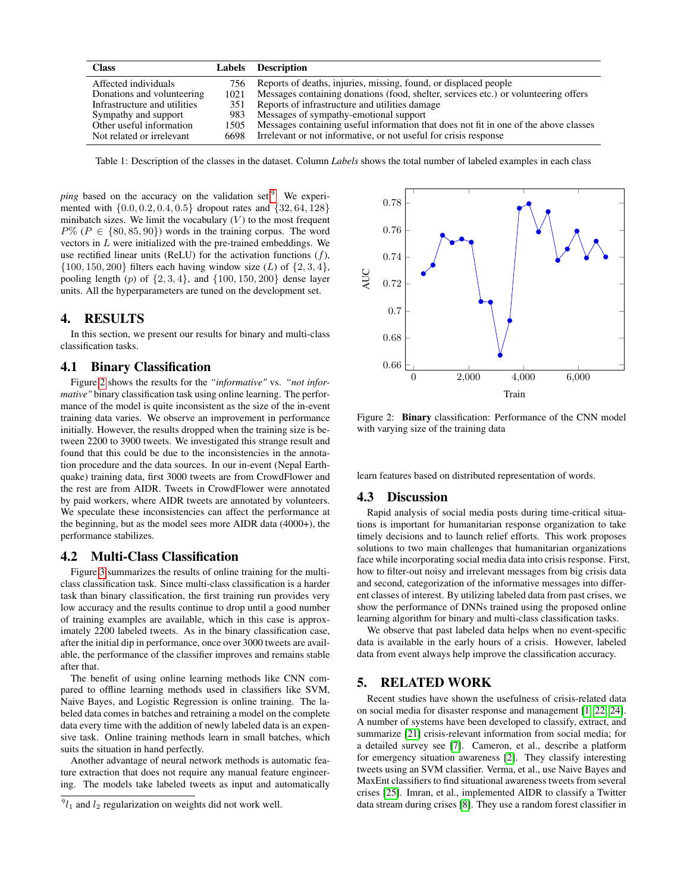<span id="page-3-2"></span>

| <b>Class</b>                 | <b>Labels</b> | Description                                                                          |
|------------------------------|---------------|--------------------------------------------------------------------------------------|
| Affected individuals         | 756           | Reports of deaths, injuries, missing, found, or displaced people                     |
| Donations and volunteering   | 1021          | Messages containing donations (food, shelter, services etc.) or volunteering offers  |
| Infrastructure and utilities | 351           | Reports of infrastructure and utilities damage                                       |
| Sympathy and support         | 983           | Messages of sympathy-emotional support                                               |
| Other useful information     | 1505          | Messages containing useful information that does not fit in one of the above classes |
| Not related or irrelevant    | 6698          | Irrelevant or not informative, or not useful for crisis response                     |

Table 1: Description of the classes in the dataset. Column *Labels* shows the total number of labeled examples in each class

*ping* based on the accuracy on the validation set.<sup>[9](#page-3-3)</sup> We experimented with  $\{0.0, 0.2, 0.4, 0.5\}$  dropout rates and  $\{32, 64, 128\}$ minibatch sizes. We limit the vocabulary  $(V)$  to the most frequent  $P\%$  ( $P \in \{80, 85, 90\}$ ) words in the training corpus. The word vectors in L were initialized with the pre-trained embeddings. We use rectified linear units (ReLU) for the activation functions  $(f)$ ,  $\{100, 150, 200\}$  filters each having window size (*L*) of  $\{2, 3, 4\}$ , pooling length (p) of  $\{2, 3, 4\}$ , and  $\{100, 150, 200\}$  dense layer units. All the hyperparameters are tuned on the development set.

## <span id="page-3-0"></span>4. RESULTS

In this section, we present our results for binary and multi-class classification tasks.

## 4.1 Binary Classification

Figure [2](#page-3-4) shows the results for the *"informative"* vs. *"not informative"* binary classification task using online learning. The performance of the model is quite inconsistent as the size of the in-event training data varies. We observe an improvement in performance initially. However, the results dropped when the training size is between 2200 to 3900 tweets. We investigated this strange result and found that this could be due to the inconsistencies in the annotation procedure and the data sources. In our in-event (Nepal Earthquake) training data, first 3000 tweets are from CrowdFlower and the rest are from AIDR. Tweets in CrowdFlower were annotated by paid workers, where AIDR tweets are annotated by volunteers. We speculate these inconsistencies can affect the performance at the beginning, but as the model sees more AIDR data (4000+), the performance stabilizes.

## 4.2 Multi-Class Classification

Figure [3](#page-4-7) summarizes the results of online training for the multiclass classification task. Since multi-class classification is a harder task than binary classification, the first training run provides very low accuracy and the results continue to drop until a good number of training examples are available, which in this case is approximately 2200 labeled tweets. As in the binary classification case, after the initial dip in performance, once over 3000 tweets are available, the performance of the classifier improves and remains stable after that.

The benefit of using online learning methods like CNN compared to offline learning methods used in classifiers like SVM, Naive Bayes, and Logistic Regression is online training. The labeled data comes in batches and retraining a model on the complete data every time with the addition of newly labeled data is an expensive task. Online training methods learn in small batches, which suits the situation in hand perfectly.

Another advantage of neural network methods is automatic feature extraction that does not require any manual feature engineering. The models take labeled tweets as input and automatically

<span id="page-3-4"></span>

Figure 2: Binary classification: Performance of the CNN model with varying size of the training data

learn features based on distributed representation of words.

## 4.3 Discussion

Rapid analysis of social media posts during time-critical situations is important for humanitarian response organization to take timely decisions and to launch relief efforts. This work proposes solutions to two main challenges that humanitarian organizations face while incorporating social media data into crisis response. First, how to filter-out noisy and irrelevant messages from big crisis data and second, categorization of the informative messages into different classes of interest. By utilizing labeled data from past crises, we show the performance of DNNs trained using the proposed online learning algorithm for binary and multi-class classification tasks.

We observe that past labeled data helps when no event-specific data is available in the early hours of a crisis. However, labeled data from event always help improve the classification accuracy.

#### <span id="page-3-1"></span>5. RELATED WORK

Recent studies have shown the usefulness of crisis-related data on social media for disaster response and management [\[1,](#page-4-8) [22,](#page-5-8) [24\]](#page-5-9). A number of systems have been developed to classify, extract, and summarize [\[21\]](#page-5-10) crisis-relevant information from social media; for a detailed survey see [\[7\]](#page-4-1). Cameron, et al., describe a platform for emergency situation awareness [\[2\]](#page-4-9). They classify interesting tweets using an SVM classifier. Verma, et al., use Naive Bayes and MaxEnt classifiers to find situational awareness tweets from several crises [\[25\]](#page-5-11). Imran, et al., implemented AIDR to classify a Twitter data stream during crises [\[8\]](#page-4-5). They use a random forest classifier in

<span id="page-3-3"></span> $^{9}l_1$  and  $l_2$  regularization on weights did not work well.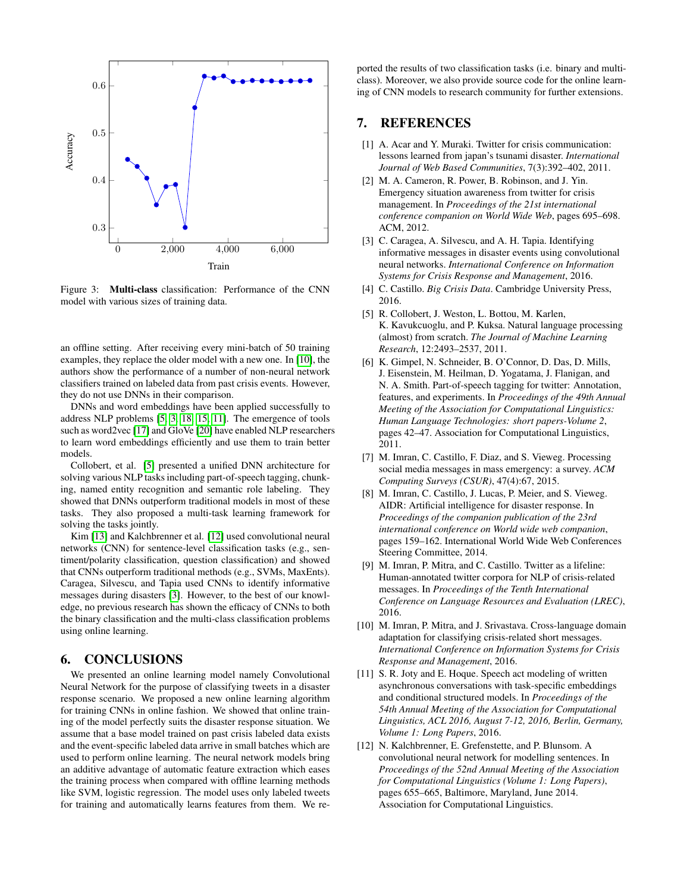<span id="page-4-7"></span>

Figure 3: Multi-class classification: Performance of the CNN model with various sizes of training data.

an offline setting. After receiving every mini-batch of 50 training examples, they replace the older model with a new one. In [\[10\]](#page-4-10), the authors show the performance of a number of non-neural network classifiers trained on labeled data from past crisis events. However, they do not use DNNs in their comparison.

DNNs and word embeddings have been applied successfully to address NLP problems [\[5,](#page-4-11) [3,](#page-4-12) [18,](#page-5-12) [15,](#page-5-13) [11\]](#page-4-13). The emergence of tools such as word2vec [\[17\]](#page-5-5) and GloVe [\[20\]](#page-5-14) have enabled NLP researchers to learn word embeddings efficiently and use them to train better models.

Collobert, et al. [\[5\]](#page-4-11) presented a unified DNN architecture for solving various NLP tasks including part-of-speech tagging, chunking, named entity recognition and semantic role labeling. They showed that DNNs outperform traditional models in most of these tasks. They also proposed a multi-task learning framework for solving the tasks jointly.

Kim [\[13\]](#page-5-1) and Kalchbrenner et al. [\[12\]](#page-4-3) used convolutional neural networks (CNN) for sentence-level classification tasks (e.g., sentiment/polarity classification, question classification) and showed that CNNs outperform traditional methods (e.g., SVMs, MaxEnts). Caragea, Silvescu, and Tapia used CNNs to identify informative messages during disasters [\[3\]](#page-4-12). However, to the best of our knowledge, no previous research has shown the efficacy of CNNs to both the binary classification and the multi-class classification problems using online learning.

# <span id="page-4-2"></span>6. CONCLUSIONS

We presented an online learning model namely Convolutional Neural Network for the purpose of classifying tweets in a disaster response scenario. We proposed a new online learning algorithm for training CNNs in online fashion. We showed that online training of the model perfectly suits the disaster response situation. We assume that a base model trained on past crisis labeled data exists and the event-specific labeled data arrive in small batches which are used to perform online learning. The neural network models bring an additive advantage of automatic feature extraction which eases the training process when compared with offline learning methods like SVM, logistic regression. The model uses only labeled tweets for training and automatically learns features from them. We reported the results of two classification tasks (i.e. binary and multiclass). Moreover, we also provide source code for the online learning of CNN models to research community for further extensions.

# 7. REFERENCES

- <span id="page-4-8"></span>[1] A. Acar and Y. Muraki. Twitter for crisis communication: lessons learned from japan's tsunami disaster. *International Journal of Web Based Communities*, 7(3):392–402, 2011.
- <span id="page-4-9"></span>[2] M. A. Cameron, R. Power, B. Robinson, and J. Yin. Emergency situation awareness from twitter for crisis management. In *Proceedings of the 21st international conference companion on World Wide Web*, pages 695–698. ACM, 2012.
- <span id="page-4-12"></span>[3] C. Caragea, A. Silvescu, and A. H. Tapia. Identifying informative messages in disaster events using convolutional neural networks. *International Conference on Information Systems for Crisis Response and Management*, 2016.
- <span id="page-4-0"></span>[4] C. Castillo. *Big Crisis Data*. Cambridge University Press, 2016.
- <span id="page-4-11"></span>[5] R. Collobert, J. Weston, L. Bottou, M. Karlen, K. Kavukcuoglu, and P. Kuksa. Natural language processing (almost) from scratch. *The Journal of Machine Learning Research*, 12:2493–2537, 2011.
- <span id="page-4-6"></span>[6] K. Gimpel, N. Schneider, B. O'Connor, D. Das, D. Mills, J. Eisenstein, M. Heilman, D. Yogatama, J. Flanigan, and N. A. Smith. Part-of-speech tagging for twitter: Annotation, features, and experiments. In *Proceedings of the 49th Annual Meeting of the Association for Computational Linguistics: Human Language Technologies: short papers-Volume 2*, pages 42–47. Association for Computational Linguistics, 2011.
- <span id="page-4-1"></span>[7] M. Imran, C. Castillo, F. Diaz, and S. Vieweg. Processing social media messages in mass emergency: a survey. *ACM Computing Surveys (CSUR)*, 47(4):67, 2015.
- <span id="page-4-5"></span>[8] M. Imran, C. Castillo, J. Lucas, P. Meier, and S. Vieweg. AIDR: Artificial intelligence for disaster response. In *Proceedings of the companion publication of the 23rd international conference on World wide web companion*, pages 159–162. International World Wide Web Conferences Steering Committee, 2014.
- <span id="page-4-4"></span>[9] M. Imran, P. Mitra, and C. Castillo. Twitter as a lifeline: Human-annotated twitter corpora for NLP of crisis-related messages. In *Proceedings of the Tenth International Conference on Language Resources and Evaluation (LREC)*, 2016.
- <span id="page-4-10"></span>[10] M. Imran, P. Mitra, and J. Srivastava. Cross-language domain adaptation for classifying crisis-related short messages. *International Conference on Information Systems for Crisis Response and Management*, 2016.
- <span id="page-4-13"></span>[11] S. R. Joty and E. Hoque. Speech act modeling of written asynchronous conversations with task-specific embeddings and conditional structured models. In *Proceedings of the 54th Annual Meeting of the Association for Computational Linguistics, ACL 2016, August 7-12, 2016, Berlin, Germany, Volume 1: Long Papers*, 2016.
- <span id="page-4-3"></span>[12] N. Kalchbrenner, E. Grefenstette, and P. Blunsom. A convolutional neural network for modelling sentences. In *Proceedings of the 52nd Annual Meeting of the Association for Computational Linguistics (Volume 1: Long Papers)*, pages 655–665, Baltimore, Maryland, June 2014. Association for Computational Linguistics.